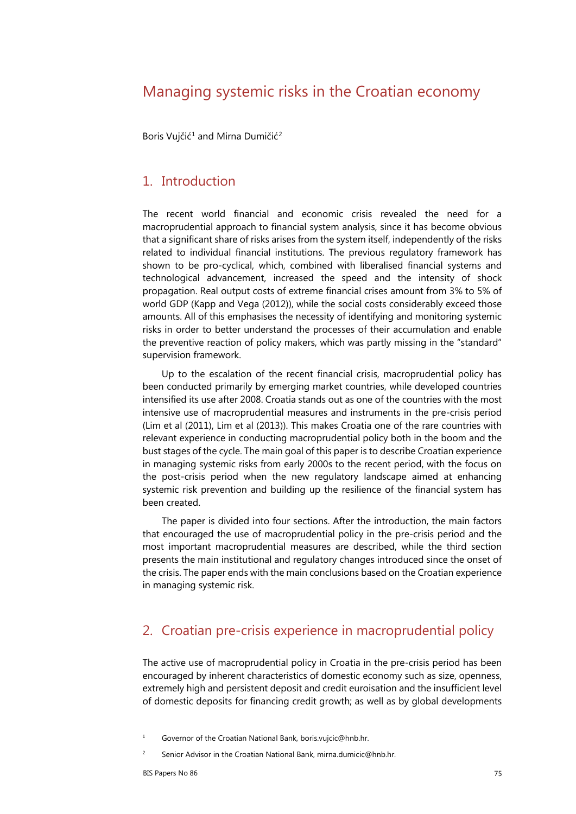# Managing systemic risks in the Croatian economy

Boris Vujčić<sup>[1](#page-0-0)</sup> and Mirna Dumičić<sup>[2](#page-0-1)</sup>

### 1. Introduction

The recent world financial and economic crisis revealed the need for a macroprudential approach to financial system analysis, since it has become obvious that a significant share of risks arises from the system itself, independently of the risks related to individual financial institutions. The previous regulatory framework has shown to be pro-cyclical, which, combined with liberalised financial systems and technological advancement, increased the speed and the intensity of shock propagation. Real output costs of extreme financial crises amount from 3% to 5% of world GDP (Kapp and Vega (2012)), while the social costs considerably exceed those amounts. All of this emphasises the necessity of identifying and monitoring systemic risks in order to better understand the processes of their accumulation and enable the preventive reaction of policy makers, which was partly missing in the "standard" supervision framework.

Up to the escalation of the recent financial crisis, macroprudential policy has been conducted primarily by emerging market countries, while developed countries intensified its use after 2008. Croatia stands out as one of the countries with the most intensive use of macroprudential measures and instruments in the pre-crisis period (Lim et al (2011), Lim et al (2013)). This makes Croatia one of the rare countries with relevant experience in conducting macroprudential policy both in the boom and the bust stages of the cycle. The main goal of this paper is to describe Croatian experience in managing systemic risks from early 2000s to the recent period, with the focus on the post-crisis period when the new regulatory landscape aimed at enhancing systemic risk prevention and building up the resilience of the financial system has been created.

The paper is divided into four sections. After the introduction, the main factors that encouraged the use of macroprudential policy in the pre-crisis period and the most important macroprudential measures are described, while the third section presents the main institutional and regulatory changes introduced since the onset of the crisis. The paper ends with the main conclusions based on the Croatian experience in managing systemic risk.

### 2. Croatian pre-crisis experience in macroprudential policy

The active use of macroprudential policy in Croatia in the pre-crisis period has been encouraged by inherent characteristics of domestic economy such as size, openness, extremely high and persistent deposit and credit euroisation and the insufficient level of domestic deposits for financing credit growth; as well as by global developments

<span id="page-0-1"></span><span id="page-0-0"></span><sup>&</sup>lt;sup>1</sup> Governor of the Croatian National Bank, boris.vuicic@hnb.hr.

Senior Advisor in the Croatian National Bank, mirna.dumicic@hnb.hr.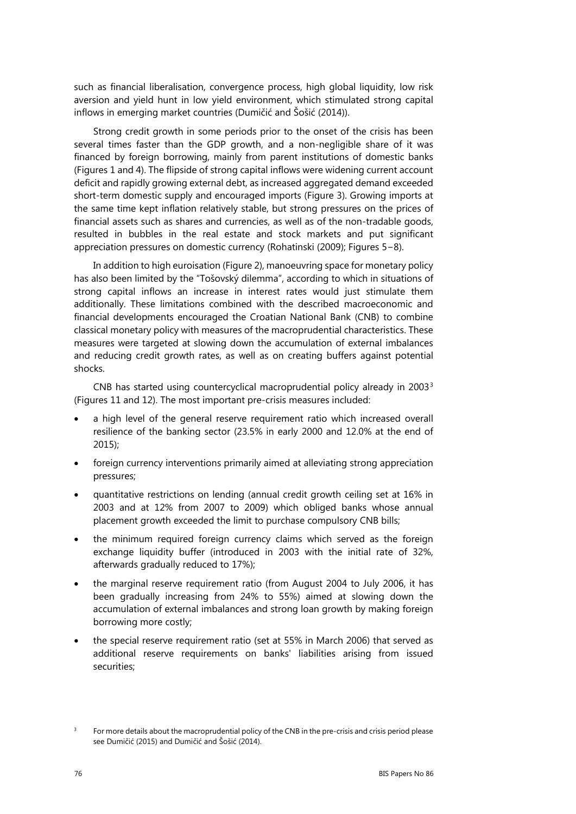such as financial liberalisation, convergence process, high global liquidity, low risk aversion and yield hunt in low yield environment, which stimulated strong capital inflows in emerging market countries (Dumičić and Šošić (2014)).

Strong credit growth in some periods prior to the onset of the crisis has been several times faster than the GDP growth, and a non-negligible share of it was financed by foreign borrowing, mainly from parent institutions of domestic banks (Figures 1 and 4). The flipside of strong capital inflows were widening current account deficit and rapidly growing external debt, as increased aggregated demand exceeded short-term domestic supply and encouraged imports (Figure 3). Growing imports at the same time kept inflation relatively stable, but strong pressures on the prices of financial assets such as shares and currencies, as well as of the non-tradable goods, resulted in bubbles in the real estate and stock markets and put significant appreciation pressures on domestic currency (Rohatinski (2009); Figures 5−8).

In addition to high euroisation (Figure 2), manoeuvring space for monetary policy has also been limited by the "Tošovský dilemma", according to which in situations of strong capital inflows an increase in interest rates would just stimulate them additionally. These limitations combined with the described macroeconomic and financial developments encouraged the Croatian National Bank (CNB) to combine classical monetary policy with measures of the macroprudential characteristics. These measures were targeted at slowing down the accumulation of external imbalances and reducing credit growth rates, as well as on creating buffers against potential shocks.

CNB has started using countercyclical macroprudential policy already in 2003[3](#page-1-0) (Figures 11 and 12). The most important pre-crisis measures included:

- a high level of the general reserve requirement ratio which increased overall resilience of the banking sector (23.5% in early 2000 and 12.0% at the end of 2015);
- foreign currency interventions primarily aimed at alleviating strong appreciation pressures;
- quantitative restrictions on lending (annual credit growth ceiling set at 16% in 2003 and at 12% from 2007 to 2009) which obliged banks whose annual placement growth exceeded the limit to purchase compulsory CNB bills;
- the minimum required foreign currency claims which served as the foreign exchange liquidity buffer (introduced in 2003 with the initial rate of 32%, afterwards gradually reduced to 17%);
- the marginal reserve requirement ratio (from August 2004 to July 2006, it has been gradually increasing from 24% to 55%) aimed at slowing down the accumulation of external imbalances and strong loan growth by making foreign borrowing more costly;
- the special reserve requirement ratio (set at 55% in March 2006) that served as additional reserve requirements on banks' liabilities arising from issued securities;

<span id="page-1-0"></span><sup>3</sup> For more details about the macroprudential policy of the CNB in the pre-crisis and crisis period please see Dumičić (2015) and Dumičić and Šošić (2014).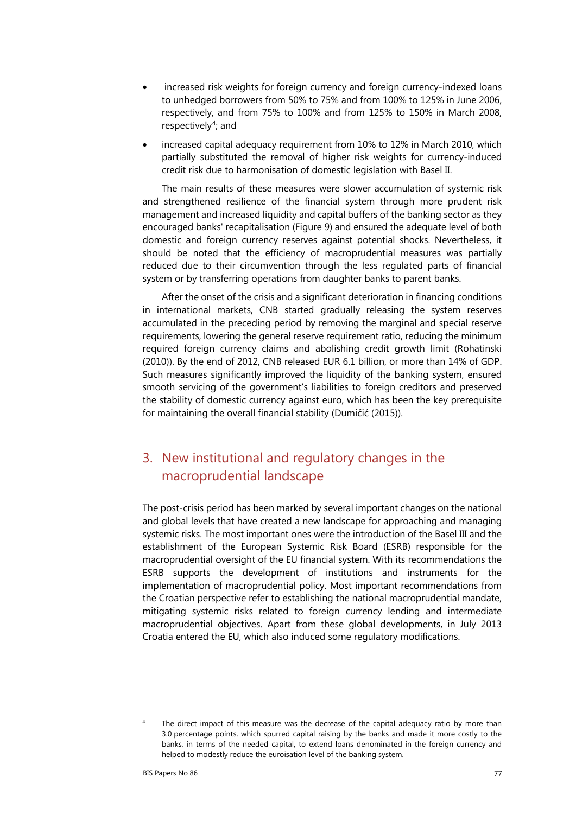- increased risk weights for foreign currency and foreign currency-indexed loans to unhedged borrowers from 50% to 75% and from 100% to 125% in June 2006, respectively, and from 75% to 100% and from 125% to 150% in March 2008, respectively<sup>[4](#page-2-0)</sup>; and
- increased capital adequacy requirement from 10% to 12% in March 2010, which partially substituted the removal of higher risk weights for currency-induced credit risk due to harmonisation of domestic legislation with Basel II.

The main results of these measures were slower accumulation of systemic risk and strengthened resilience of the financial system through more prudent risk management and increased liquidity and capital buffers of the banking sector as they encouraged banks' recapitalisation (Figure 9) and ensured the adequate level of both domestic and foreign currency reserves against potential shocks. Nevertheless, it should be noted that the efficiency of macroprudential measures was partially reduced due to their circumvention through the less regulated parts of financial system or by transferring operations from daughter banks to parent banks.

After the onset of the crisis and a significant deterioration in financing conditions in international markets, CNB started gradually releasing the system reserves accumulated in the preceding period by removing the marginal and special reserve requirements, lowering the general reserve requirement ratio, reducing the minimum required foreign currency claims and abolishing credit growth limit (Rohatinski (2010)). By the end of 2012, CNB released EUR 6.1 billion, or more than 14% of GDP. Such measures significantly improved the liquidity of the banking system, ensured smooth servicing of the government's liabilities to foreign creditors and preserved the stability of domestic currency against euro, which has been the key prerequisite for maintaining the overall financial stability (Dumičić (2015)).

# 3. New institutional and regulatory changes in the macroprudential landscape

The post-crisis period has been marked by several important changes on the national and global levels that have created a new landscape for approaching and managing systemic risks. The most important ones were the introduction of the Basel III and the establishment of the European Systemic Risk Board (ESRB) responsible for the macroprudential oversight of the EU financial system. With its recommendations the ESRB supports the development of institutions and instruments for the implementation of macroprudential policy. Most important recommendations from the Croatian perspective refer to establishing the national macroprudential mandate, mitigating systemic risks related to foreign currency lending and intermediate macroprudential objectives. Apart from these global developments, in July 2013 Croatia entered the EU, which also induced some regulatory modifications.

<span id="page-2-0"></span>The direct impact of this measure was the decrease of the capital adequacy ratio by more than 3.0 percentage points, which spurred capital raising by the banks and made it more costly to the banks, in terms of the needed capital, to extend loans denominated in the foreign currency and helped to modestly reduce the euroisation level of the banking system.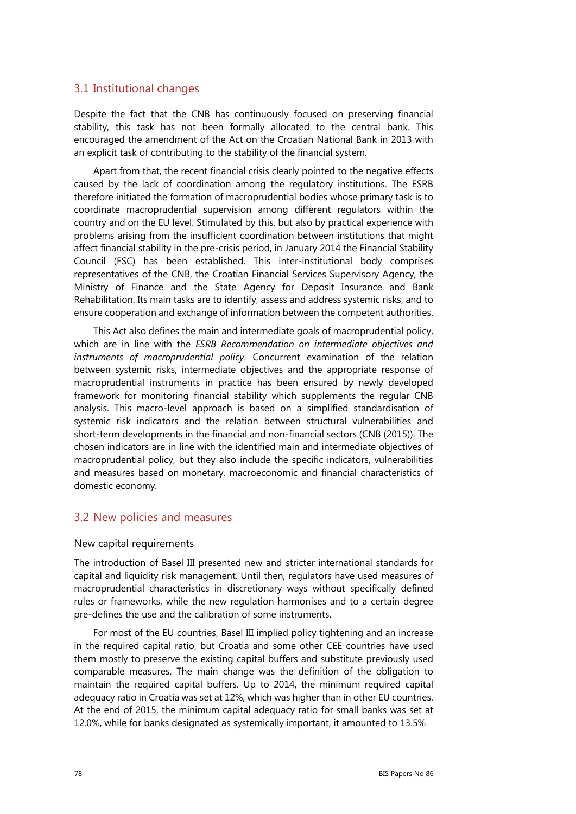### 3.1 Institutional changes

Despite the fact that the CNB has continuously focused on preserving financial stability, this task has not been formally allocated to the central bank. This encouraged the amendment of the Act on the Croatian National Bank in 2013 with an explicit task of contributing to the stability of the financial system.

Apart from that, the recent financial crisis clearly pointed to the negative effects caused by the lack of coordination among the regulatory institutions. The ESRB therefore initiated the formation of macroprudential bodies whose primary task is to coordinate macroprudential supervision among different regulators within the country and on the EU level. Stimulated by this, but also by practical experience with problems arising from the insufficient coordination between institutions that might affect financial stability in the pre-crisis period, in January 2014 the Financial Stability Council (FSC) has been established. This inter-institutional body comprises representatives of the CNB, the Croatian Financial Services Supervisory Agency, the Ministry of Finance and the State Agency for Deposit Insurance and Bank Rehabilitation. Its main tasks are to identify, assess and address systemic risks, and to ensure cooperation and exchange of information between the competent authorities.

This Act also defines the main and intermediate goals of macroprudential policy, which are in line with the *ESRB Recommendation on intermediate objectives and instruments of macroprudential policy*. Concurrent examination of the relation between systemic risks, intermediate objectives and the appropriate response of macroprudential instruments in practice has been ensured by newly developed framework for monitoring financial stability which supplements the regular CNB analysis. This macro-level approach is based on a simplified standardisation of systemic risk indicators and the relation between structural vulnerabilities and short-term developments in the financial and non-financial sectors (CNB (2015)). The chosen indicators are in line with the identified main and intermediate objectives of macroprudential policy, but they also include the specific indicators, vulnerabilities and measures based on monetary, macroeconomic and financial characteristics of domestic economy.

### 3.2 New policies and measures

#### New capital requirements

The introduction of Basel III presented new and stricter international standards for capital and liquidity risk management. Until then, regulators have used measures of macroprudential characteristics in discretionary ways without specifically defined rules or frameworks, while the new regulation harmonises and to a certain degree pre-defines the use and the calibration of some instruments.

For most of the EU countries, Basel III implied policy tightening and an increase in the required capital ratio, but Croatia and some other CEE countries have used them mostly to preserve the existing capital buffers and substitute previously used comparable measures. The main change was the definition of the obligation to maintain the required capital buffers. Up to 2014, the minimum required capital adequacy ratio in Croatia was set at 12%, which was higher than in other EU countries. At the end of 2015, the minimum capital adequacy ratio for small banks was set at 12.0%, while for banks designated as systemically important, it amounted to 13.5%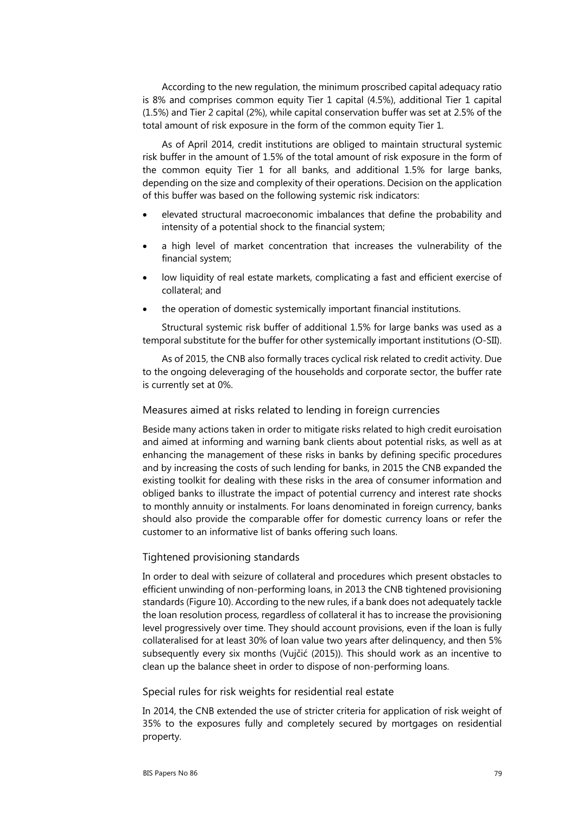According to the new regulation, the minimum proscribed capital adequacy ratio is 8% and comprises common equity Tier 1 capital (4.5%), additional Tier 1 capital (1.5%) and Tier 2 capital (2%), while capital conservation buffer was set at 2.5% of the total amount of risk exposure in the form of the common equity Tier 1.

As of April 2014, credit institutions are obliged to maintain structural systemic risk buffer in the amount of 1.5% of the total amount of risk exposure in the form of the common equity Tier 1 for all banks, and additional 1.5% for large banks, depending on the size and complexity of their operations. Decision on the application of this buffer was based on the following systemic risk indicators:

- elevated structural macroeconomic imbalances that define the probability and intensity of a potential shock to the financial system;
- a high level of market concentration that increases the vulnerability of the financial system;
- low liquidity of real estate markets, complicating a fast and efficient exercise of collateral; and
- the operation of domestic systemically important financial institutions.

Structural systemic risk buffer of additional 1.5% for large banks was used as a temporal substitute for the buffer for other systemically important institutions (O-SII).

As of 2015, the CNB also formally traces cyclical risk related to credit activity. Due to the ongoing deleveraging of the households and corporate sector, the buffer rate is currently set at 0%.

#### Measures aimed at risks related to lending in foreign currencies

Beside many actions taken in order to mitigate risks related to high credit euroisation and aimed at informing and warning bank clients about potential risks, as well as at enhancing the management of these risks in banks by defining specific procedures and by increasing the costs of such lending for banks, in 2015 the CNB expanded the existing toolkit for dealing with these risks in the area of consumer information and obliged banks to illustrate the impact of potential currency and interest rate shocks to monthly annuity or instalments. For loans denominated in foreign currency, banks should also provide the comparable offer for domestic currency loans or refer the customer to an informative list of banks offering such loans.

#### Tightened provisioning standards

In order to deal with seizure of collateral and procedures which present obstacles to efficient unwinding of non-performing loans, in 2013 the CNB tightened provisioning standards (Figure 10). According to the new rules, if a bank does not adequately tackle the loan resolution process, regardless of collateral it has to increase the provisioning level progressively over time. They should account provisions, even if the loan is fully collateralised for at least 30% of loan value two years after delinquency, and then 5% subsequently every six months (Vujčić (2015)). This should work as an incentive to clean up the balance sheet in order to dispose of non-performing loans.

#### Special rules for risk weights for residential real estate

In 2014, the CNB extended the use of stricter criteria for application of risk weight of 35% to the exposures fully and completely secured by mortgages on residential property.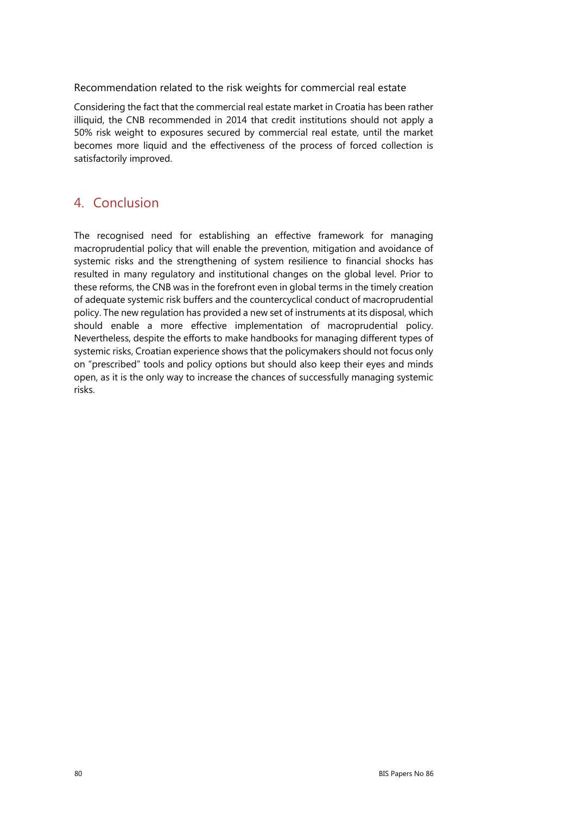Recommendation related to the risk weights for commercial real estate

Considering the fact that the commercial real estate market in Croatia has been rather illiquid, the CNB recommended in 2014 that credit institutions should not apply a 50% risk weight to exposures secured by commercial real estate, until the market becomes more liquid and the effectiveness of the process of forced collection is satisfactorily improved.

# 4. Conclusion

The recognised need for establishing an effective framework for managing macroprudential policy that will enable the prevention, mitigation and avoidance of systemic risks and the strengthening of system resilience to financial shocks has resulted in many regulatory and institutional changes on the global level. Prior to these reforms, the CNB was in the forefront even in global terms in the timely creation of adequate systemic risk buffers and the countercyclical conduct of macroprudential policy. The new regulation has provided a new set of instruments at its disposal, which should enable a more effective implementation of macroprudential policy. Nevertheless, despite the efforts to make handbooks for managing different types of systemic risks, Croatian experience shows that the policymakers should not focus only on "prescribed" tools and policy options but should also keep their eyes and minds open, as it is the only way to increase the chances of successfully managing systemic risks.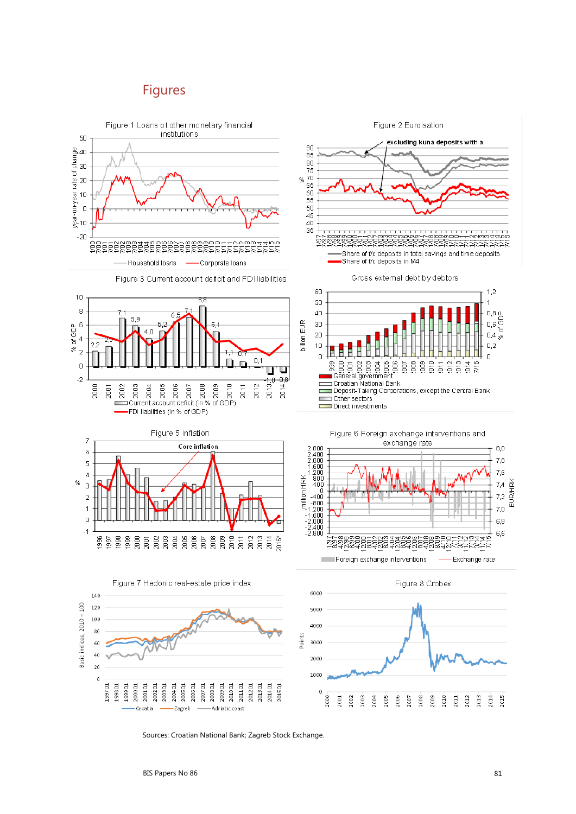## Figures



Sources: Croatian National Bank; Zagreb Stock Exchange.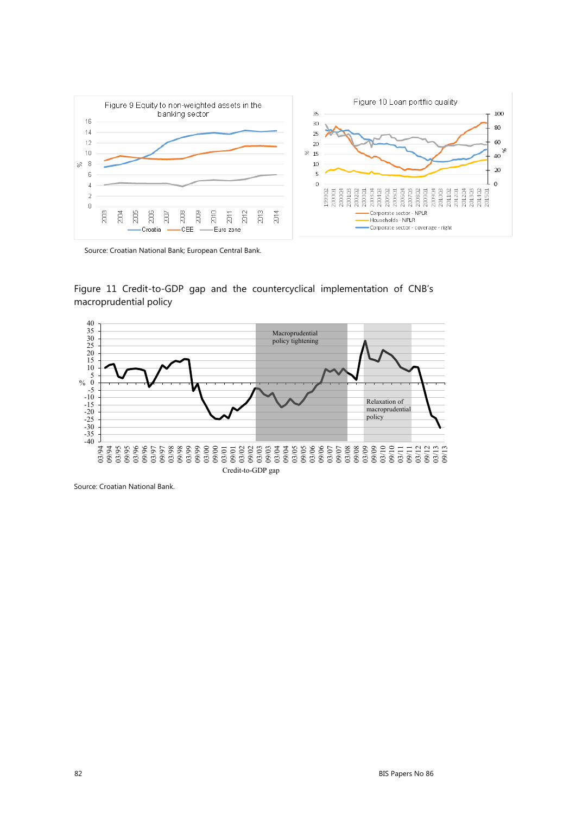

Source: Croatian National Bank; European Central Bank.

Figure 11 Credit-to-GDP gap and the countercyclical implementation of CNB's macroprudential policy



Source: Croatian National Bank.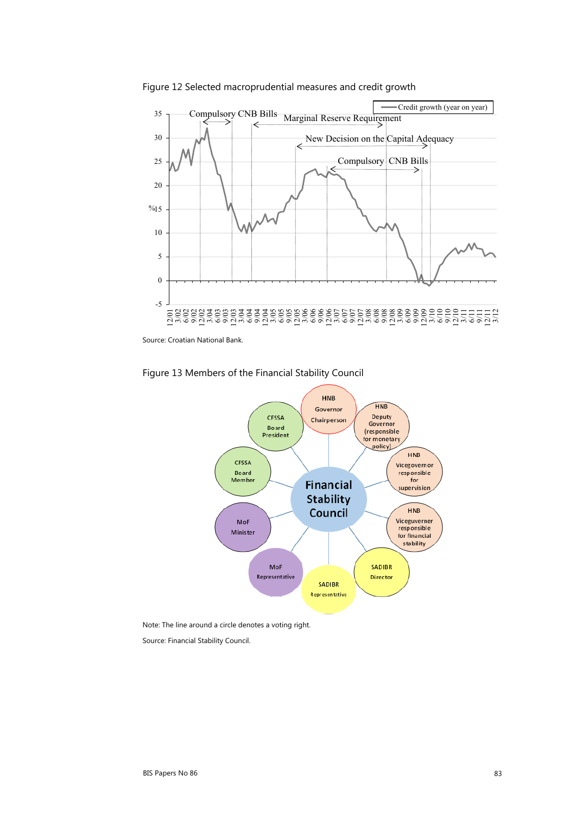

Figure 12 Selected macroprudential measures and credit growth

Source: Croatian National Bank.



MoF

Representative

**Financial** 

**Stability** 

Council

**SADIBR** Representative **HNB** 

Vicegovernor

responsible

 $for$ 

upervision

 $HNB$ 

Viceguverner

responsible<br>for financial

stability

SADIBR

Director

Figure 13 Members of the Financial Stability Council

Board

Member

MoF

Minister

Note: The line around a circle denotes a voting right.

Source: Financial Stability Council.